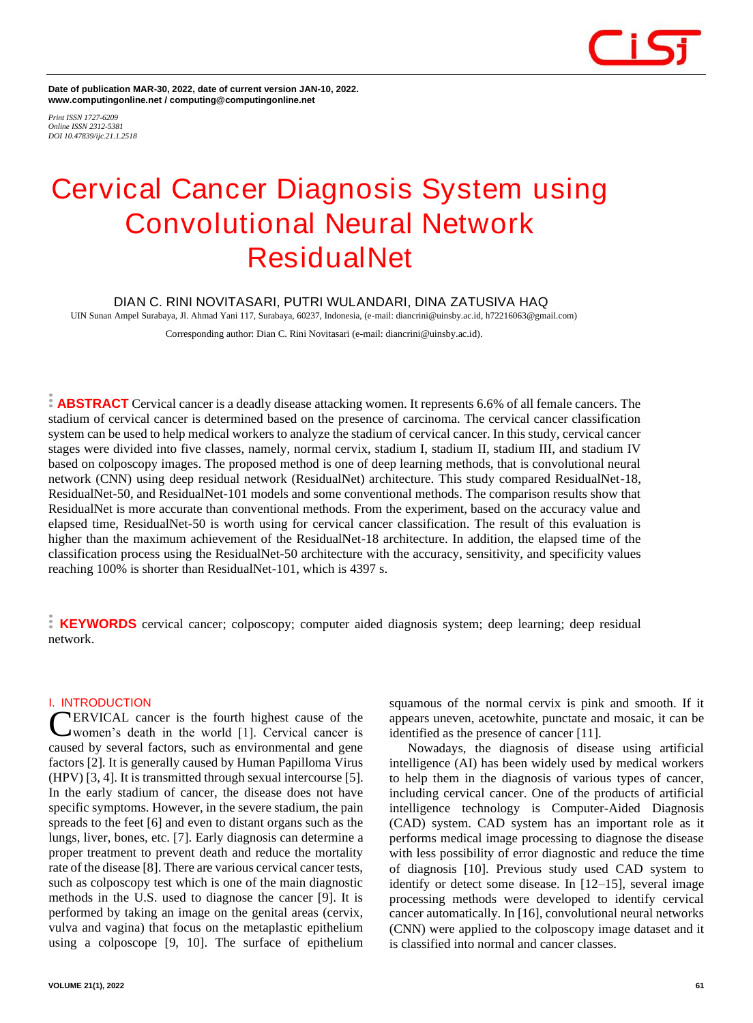**Date of publication MAR-30, 2022, date of current version JAN-10, 2022. www.computingonline.net / computing@computingonline.net**

*Print ISSN 1727-6209 Online ISSN 2312-5381 DOI 10.47839/ijc.21.1.2518*

# **Cervical Cancer Diagnosis System using Convolutional Neural Network ResidualNet**

# **DIAN C. RINI NOVITASARI, PUTRI WULANDARI, DINA ZATUSIVA HAQ**

UIN Sunan Ampel Surabaya, Jl. Ahmad Yani 117, Surabaya, 60237, Indonesia, (e-mail: diancrini@uinsby.ac.id, h72216063@gmail.com) Corresponding author: Dian C. Rini Novitasari (e-mail: diancrini@uinsby.ac.id).

**ABSTRACT** Cervical cancer is a deadly disease attacking women. It represents 6.6% of all female cancers. The stadium of cervical cancer is determined based on the presence of carcinoma. The cervical cancer classification system can be used to help medical workers to analyze the stadium of cervical cancer. In this study, cervical cancer stages were divided into five classes, namely, normal cervix, stadium I, stadium II, stadium III, and stadium IV based on colposcopy images. The proposed method is one of deep learning methods, that is convolutional neural network (CNN) using deep residual network (ResidualNet) architecture. This study compared ResidualNet-18, ResidualNet-50, and ResidualNet-101 models and some conventional methods. The comparison results show that ResidualNet is more accurate than conventional methods. From the experiment, based on the accuracy value and elapsed time, ResidualNet-50 is worth using for cervical cancer classification. The result of this evaluation is higher than the maximum achievement of the ResidualNet-18 architecture. In addition, the elapsed time of the classification process using the ResidualNet-50 architecture with the accuracy, sensitivity, and specificity values reaching 100% is shorter than ResidualNet-101, which is 4397 s.

**KEYWORDS** cervical cancer; colposcopy; computer aided diagnosis system; deep learning; deep residual network.

### **I. INTRODUCTION**

ERVICAL cancer is the fourth highest cause of the women's death in the world [1]. Cervical cancer is caused by several factors, such as environmental and gene factors [2]. It is generally caused by Human Papilloma Virus (HPV) [3, 4]. It is transmitted through sexual intercourse [5]. In the early stadium of cancer, the disease does not have specific symptoms. However, in the severe stadium, the pain spreads to the feet [6] and even to distant organs such as the lungs, liver, bones, etc. [7]. Early diagnosis can determine a proper treatment to prevent death and reduce the mortality rate of the disease [8]. There are various cervical cancer tests, such as colposcopy test which is one of the main diagnostic methods in the U.S. used to diagnose the cancer [9]. It is performed by taking an image on the genital areas (cervix, vulva and vagina) that focus on the metaplastic epithelium using a colposcope [9, 10]. The surface of epithelium C

squamous of the normal cervix is pink and smooth. If it appears uneven, acetowhite, punctate and mosaic, it can be identified as the presence of cancer [11].

Nowadays, the diagnosis of disease using artificial intelligence (AI) has been widely used by medical workers to help them in the diagnosis of various types of cancer, including cervical cancer. One of the products of artificial intelligence technology is Computer-Aided Diagnosis (CAD) system. CAD system has an important role as it performs medical image processing to diagnose the disease with less possibility of error diagnostic and reduce the time of diagnosis [10]. Previous study used CAD system to identify or detect some disease. In [12–15], several image processing methods were developed to identify cervical cancer automatically. In [16], convolutional neural networks (CNN) were applied to the colposcopy image dataset and it is classified into normal and cancer classes.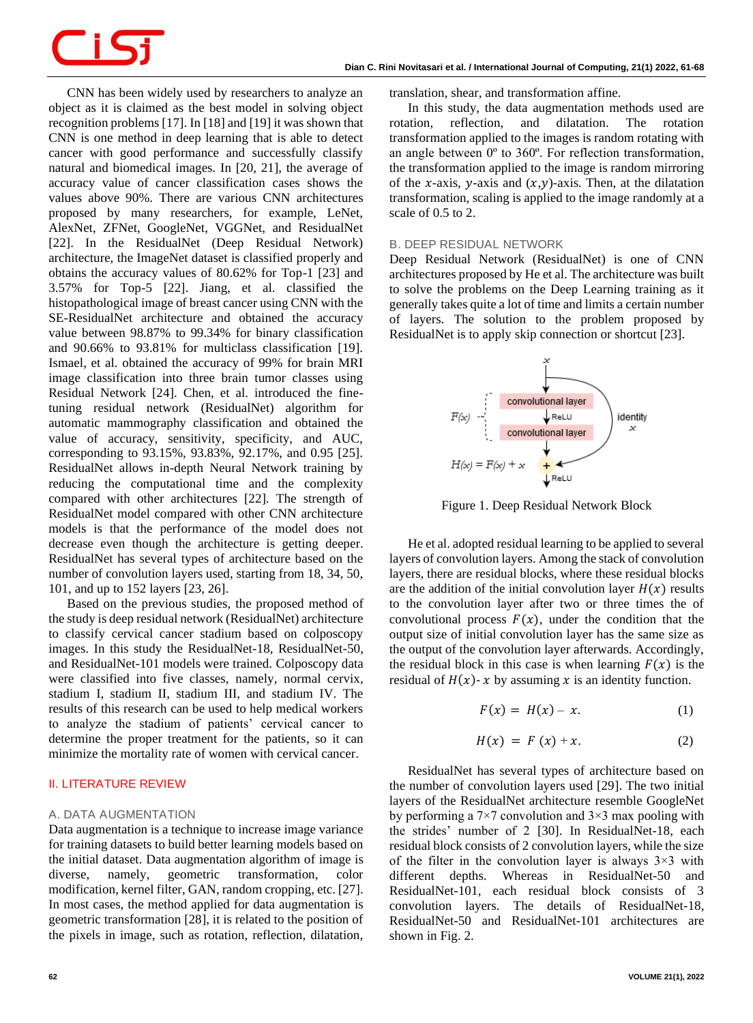CNN has been widely used by researchers to analyze an object as it is claimed as the best model in solving object recognition problems [17]. In [18] and [19] it was shown that CNN is one method in deep learning that is able to detect cancer with good performance and successfully classify natural and biomedical images. In [20, 21], the average of accuracy value of cancer classification cases shows the values above 90%. There are various CNN architectures proposed by many researchers, for example, LeNet, AlexNet, ZFNet, GoogleNet, VGGNet, and ResidualNet [22]. In the ResidualNet (Deep Residual Network) architecture, the ImageNet dataset is classified properly and obtains the accuracy values of 80.62% for Top-1 [23] and 3.57% for Top-5 [22]. Jiang, et al. classified the histopathological image of breast cancer using CNN with the SE-ResidualNet architecture and obtained the accuracy value between 98.87% to 99.34% for binary classification and 90.66% to 93.81% for multiclass classification [19]. Ismael, et al. obtained the accuracy of 99% for brain MRI image classification into three brain tumor classes using Residual Network [24]. Chen, et al. introduced the finetuning residual network (ResidualNet) algorithm for automatic mammography classification and obtained the value of accuracy, sensitivity, specificity, and AUC, corresponding to 93.15%, 93.83%, 92.17%, and 0.95 [25]. ResidualNet allows in-depth Neural Network training by reducing the computational time and the complexity compared with other architectures [22]. The strength of ResidualNet model compared with other CNN architecture models is that the performance of the model does not decrease even though the architecture is getting deeper. ResidualNet has several types of architecture based on the number of convolution layers used, starting from 18, 34, 50, 101, and up to 152 layers [23, 26].

Based on the previous studies, the proposed method of the study is deep residual network (ResidualNet) architecture to classify cervical cancer stadium based on colposcopy images. In this study the ResidualNet-18, ResidualNet-50, and ResidualNet-101 models were trained. Colposcopy data were classified into five classes, namely, normal cervix, stadium I, stadium II, stadium III, and stadium IV. The results of this research can be used to help medical workers to analyze the stadium of patients' cervical cancer to determine the proper treatment for the patients, so it can minimize the mortality rate of women with cervical cancer.

# **II. LITERATURE REVIEW**

# *A. DATA AUGMENTATION*

Data augmentation is a technique to increase image variance for training datasets to build better learning models based on the initial dataset. Data augmentation algorithm of image is diverse, namely, geometric transformation, color modification, kernel filter, GAN, random cropping, etc. [27]. In most cases, the method applied for data augmentation is geometric transformation [28], it is related to the position of the pixels in image, such as rotation, reflection, dilatation,

translation, shear, and transformation affine.

In this study, the data augmentation methods used are rotation, reflection, and dilatation. The rotation transformation applied to the images is random rotating with an angle between 0º to 360º. For reflection transformation, the transformation applied to the image is random mirroring of the x-axis, y-axis and  $(x,y)$ -axis. Then, at the dilatation transformation, scaling is applied to the image randomly at a scale of 0.5 to 2.

#### *B. DEEP RESIDUAL NETWORK*

Deep Residual Network (ResidualNet) is one of CNN architectures proposed by He et al. The architecture was built to solve the problems on the Deep Learning training as it generally takes quite a lot of time and limits a certain number of layers. The solution to the problem proposed by ResidualNet is to apply skip connection or shortcut [23].



Figure 1. Deep Residual Network Block

He et al. adopted residual learning to be applied to several layers of convolution layers. Among the stack of convolution layers, there are residual blocks, where these residual blocks are the addition of the initial convolution layer  $H(x)$  results to the convolution layer after two or three times the of convolutional process  $F(x)$ , under the condition that the output size of initial convolution layer has the same size as the output of the convolution layer afterwards. Accordingly, the residual block in this case is when learning  $F(x)$  is the residual of  $H(x)$ - x by assuming x is an identity function.

$$
F(x) = H(x) - x. \tag{1}
$$

$$
H(x) = F(x) + x. \tag{2}
$$

ResidualNet has several types of architecture based on the number of convolution layers used [29]. The two initial layers of the ResidualNet architecture resemble GoogleNet by performing a  $7\times7$  convolution and  $3\times3$  max pooling with the strides' number of 2 [30]. In ResidualNet-18, each residual block consists of 2 convolution layers, while the size of the filter in the convolution layer is always  $3\times3$  with different depths. Whereas in ResidualNet-50 and ResidualNet-101, each residual block consists of 3 convolution layers. The details of ResidualNet-18, ResidualNet-50 and ResidualNet-101 architectures are shown in Fig. 2.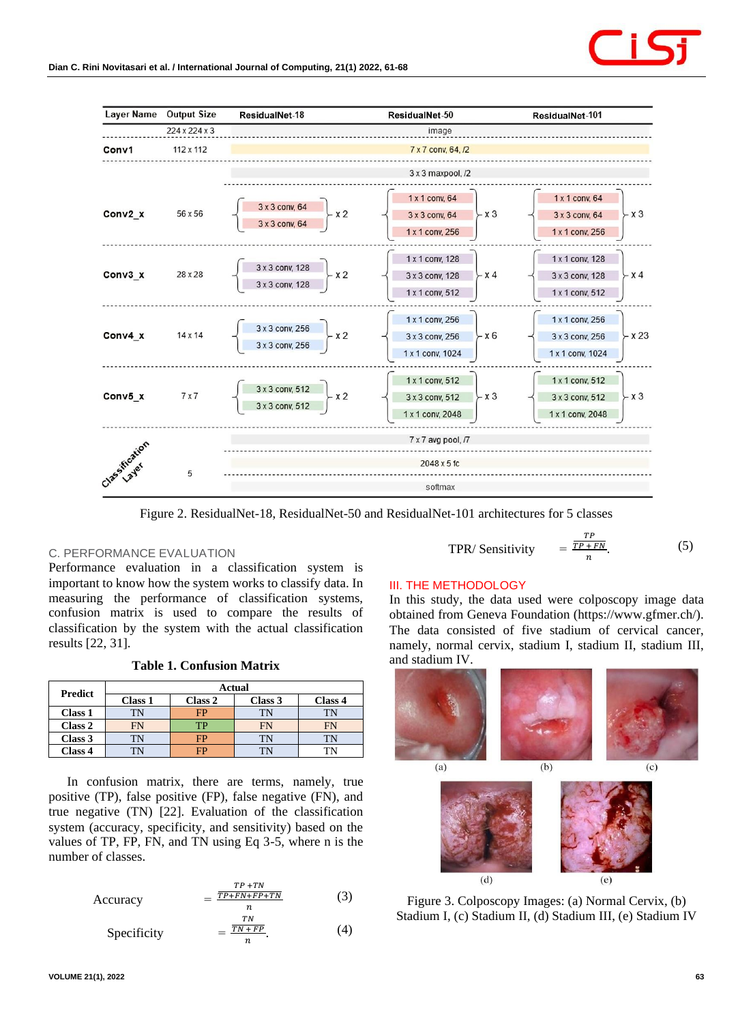

Figure 2. ResidualNet-18, ResidualNet-50 and ResidualNet-101 architectures for 5 classes

(4)

### *C. PERFORMANCE EVALUATION*

Performance evaluation in a classification system is important to know how the system works to classify data. In measuring the performance of classification systems, confusion matrix is used to compare the results of classification by the system with the actual classification results [22, 31].

**Table 1. Confusion Matrix**

| <b>Predict</b> | Actual         |         |         |           |  |
|----------------|----------------|---------|---------|-----------|--|
|                | <b>Class 1</b> | Class 2 | Class 3 | Class 4   |  |
| Class 1        | TN             | FP      | TN      | TN        |  |
| Class 2        | FN             | TP      | FN      | <b>FN</b> |  |
| Class 3        |                | FP      | TN      | TN        |  |
| Class 4        |                | FP      | TN      | TN        |  |

In confusion matrix, there are terms, namely, true positive (TP), false positive (FP), false negative (FN), and true negative (TN) [22]. Evaluation of the classification system (accuracy, specificity, and sensitivity) based on the values of TP, FP, FN, and TN using Eq 3-5, where n is the number of classes.

$$
Accuracy = \frac{\frac{TP + TN}{TP + FN + FP + TN}}{n}
$$
 (3)

Specificity =  $_{TN}$  $TN + FP$  $\boldsymbol{n}$ .

TPR/ Sensitivity 
$$
= \frac{TP + FN}{n}.
$$

# **III. THE METHODOLOGY**

In this study, the data used were colposcopy image data obtained from Geneva Foundation (https://www.gfmer.ch/). The data consisted of five stadium of cervical cancer, namely, normal cervix, stadium I, stadium II, stadium III, and stadium IV.

TР

(5)



Figure 3. Colposcopy Images: (a) Normal Cervix, (b) Stadium I, (c) Stadium II, (d) Stadium III, (e) Stadium IV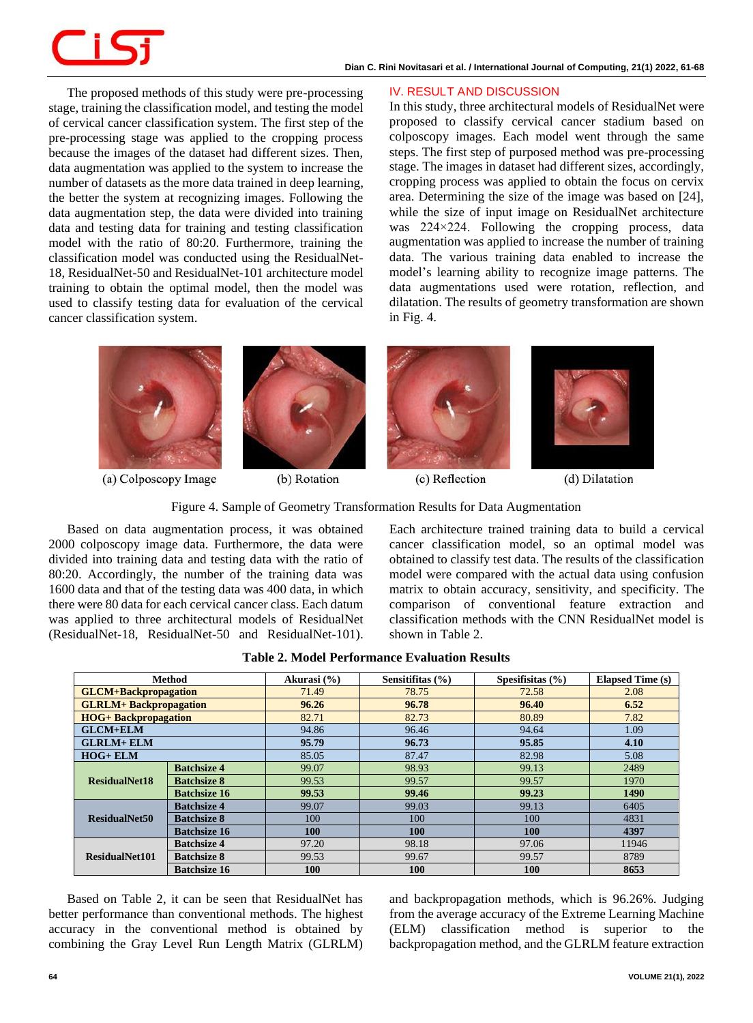The proposed methods of this study were pre-processing stage, training the classification model, and testing the model of cervical cancer classification system. The first step of the pre-processing stage was applied to the cropping process because the images of the dataset had different sizes. Then, data augmentation was applied to the system to increase the number of datasets as the more data trained in deep learning, the better the system at recognizing images. Following the data augmentation step, the data were divided into training data and testing data for training and testing classification model with the ratio of 80:20. Furthermore, training the classification model was conducted using the ResidualNet-18, ResidualNet-50 and ResidualNet-101 architecture model training to obtain the optimal model, then the model was used to classify testing data for evaluation of the cervical cancer classification system.

# **IV. RESULT AND DISCUSSION**

In this study, three architectural models of ResidualNet were proposed to classify cervical cancer stadium based on colposcopy images. Each model went through the same steps. The first step of purposed method was pre-processing stage. The images in dataset had different sizes, accordingly, cropping process was applied to obtain the focus on cervix area. Determining the size of the image was based on [24], while the size of input image on ResidualNet architecture was 224×224. Following the cropping process, data augmentation was applied to increase the number of training data. The various training data enabled to increase the model's learning ability to recognize image patterns. The data augmentations used were rotation, reflection, and dilatation. The results of geometry transformation are shown in Fig. 4.



(a) Colposcopy Image



(b) Rotation

(c) Reflection





Based on data augmentation process, it was obtained 2000 colposcopy image data. Furthermore, the data were divided into training data and testing data with the ratio of 80:20. Accordingly, the number of the training data was 1600 data and that of the testing data was 400 data, in which there were 80 data for each cervical cancer class. Each datum was applied to three architectural models of ResidualNet (ResidualNet-18, ResidualNet-50 and ResidualNet-101). Each architecture trained training data to build a cervical cancer classification model, so an optimal model was obtained to classify test data. The results of the classification model were compared with the actual data using confusion matrix to obtain accuracy, sensitivity, and specificity. The comparison of conventional feature extraction and classification methods with the CNN ResidualNet model is shown in Table 2.

| Method                        |                     | Akurasi (%) | Sensitifitas $(\% )$ | Spesifisitas $(\% )$ | <b>Elapsed Time (s)</b> |
|-------------------------------|---------------------|-------------|----------------------|----------------------|-------------------------|
| <b>GLCM+Backpropagation</b>   |                     | 71.49       | 78.75                | 72.58                | 2.08                    |
| <b>GLRLM+ Backpropagation</b> |                     | 96.26       | 96.78                | 96.40                | 6.52                    |
| <b>HOG+</b> Backpropagation   |                     | 82.71       | 82.73                | 80.89                | 7.82                    |
| $GLCM+ELM$                    |                     | 94.86       | 96.46                | 94.64                | 1.09                    |
| <b>GLRLM+ ELM</b>             |                     | 95.79       | 96.73                | 95.85                | 4.10                    |
| $HOG + ELM$                   |                     | 85.05       | 87.47                | 82.98                | 5.08                    |
| <b>ResidualNet18</b>          | <b>Batchsize 4</b>  | 99.07       | 98.93                | 99.13                | 2489                    |
|                               | <b>Batchsize 8</b>  | 99.53       | 99.57                | 99.57                | 1970                    |
|                               | <b>Batchsize 16</b> | 99.53       | 99.46                | 99.23                | 1490                    |
| ResidualNet50                 | <b>Batchsize 4</b>  | 99.07       | 99.03                | 99.13                | 6405                    |
|                               | <b>Batchsize 8</b>  | 100         | 100                  | 100                  | 4831                    |
|                               | <b>Batchsize 16</b> | 100         | 100                  | <b>100</b>           | 4397                    |
| ResidualNet101                | <b>Batchsize 4</b>  | 97.20       | 98.18                | 97.06                | 11946                   |
|                               | <b>Batchsize 8</b>  | 99.53       | 99.67                | 99.57                | 8789                    |
|                               | <b>Batchsize 16</b> | 100         | <b>100</b>           | <b>100</b>           | 8653                    |

**Table 2. Model Performance Evaluation Results**

Based on Table 2, it can be seen that ResidualNet has better performance than conventional methods. The highest accuracy in the conventional method is obtained by combining the Gray Level Run Length Matrix (GLRLM)

and backpropagation methods, which is 96.26%. Judging from the average accuracy of the Extreme Learning Machine (ELM) classification method is superior to the backpropagation method, and the GLRLM feature extraction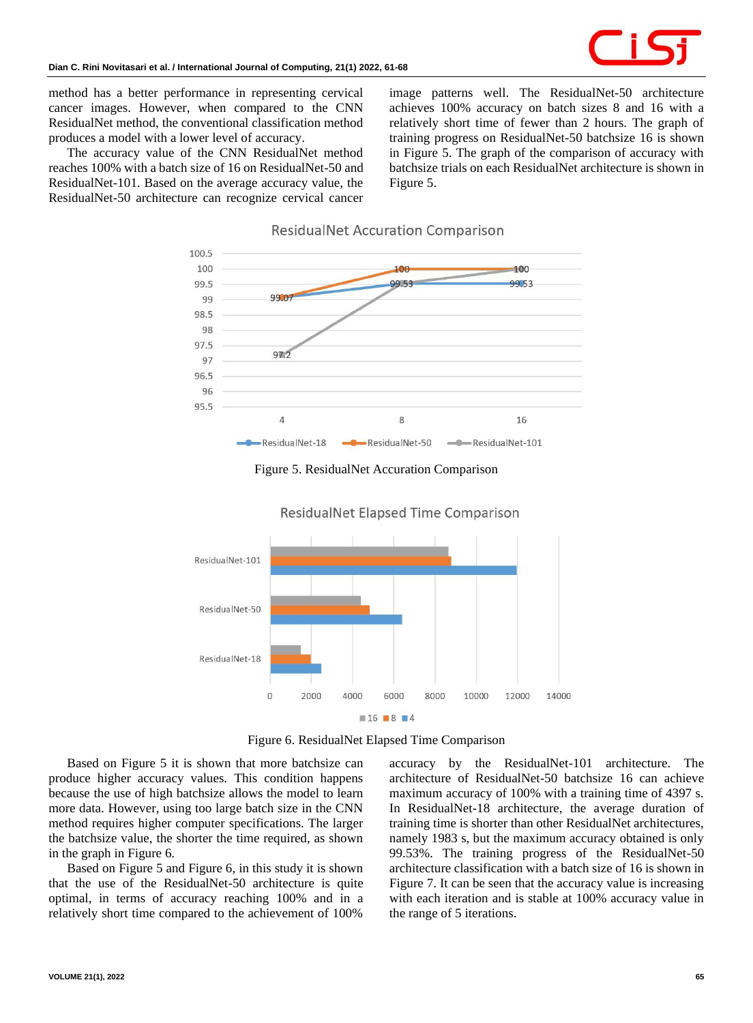

method has a better performance in representing cervical cancer images. However, when compared to the CNN ResidualNet method, the conventional classification method produces a model with a lower level of accuracy.

The accuracy value of the CNN ResidualNet method reaches 100% with a batch size of 16 on ResidualNet-50 and ResidualNet-101. Based on the average accuracy value, the ResidualNet-50 architecture can recognize cervical cancer image patterns well. The ResidualNet-50 architecture achieves 100% accuracy on batch sizes 8 and 16 with a relatively short time of fewer than 2 hours. The graph of training progress on ResidualNet-50 batchsize 16 is shown in Figure 5. The graph of the comparison of accuracy with batchsize trials on each ResidualNet architecture is shown in Figure 5.





Figure 5. ResidualNet Accuration Comparison



**ResidualNet Elapsed Time Comparison** 

Figure 6. ResidualNet Elapsed Time Comparison

Based on Figure 5 it is shown that more batchsize can produce higher accuracy values. This condition happens because the use of high batchsize allows the model to learn more data. However, using too large batch size in the CNN method requires higher computer specifications. The larger the batchsize value, the shorter the time required, as shown in the graph in Figure 6.

Based on Figure 5 and Figure 6, in this study it is shown that the use of the ResidualNet-50 architecture is quite optimal, in terms of accuracy reaching 100% and in a relatively short time compared to the achievement of 100%

accuracy by the ResidualNet-101 architecture. The architecture of ResidualNet-50 batchsize 16 can achieve maximum accuracy of 100% with a training time of 4397 s. In ResidualNet-18 architecture, the average duration of training time is shorter than other ResidualNet architectures, namely 1983 s, but the maximum accuracy obtained is only 99.53%. The training progress of the ResidualNet-50 architecture classification with a batch size of 16 is shown in Figure 7. It can be seen that the accuracy value is increasing with each iteration and is stable at 100% accuracy value in the range of 5 iterations.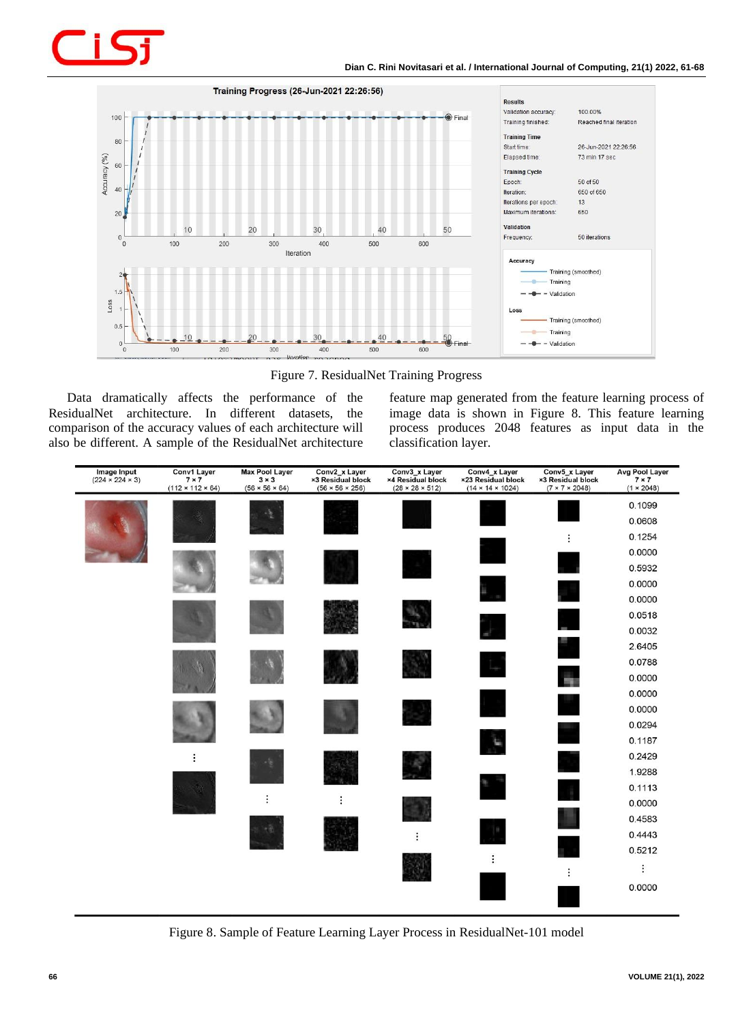



Figure 7. ResidualNet Training Progress

Data dramatically affects the performance of the ResidualNet architecture. In different datasets, the comparison of the accuracy values of each architecture will also be different. A sample of the ResidualNet architecture feature map generated from the feature learning process of image data is shown in Figure 8. This feature learning process produces 2048 features as input data in the classification layer.



Figure 8. Sample of Feature Learning Layer Process in ResidualNet-101 model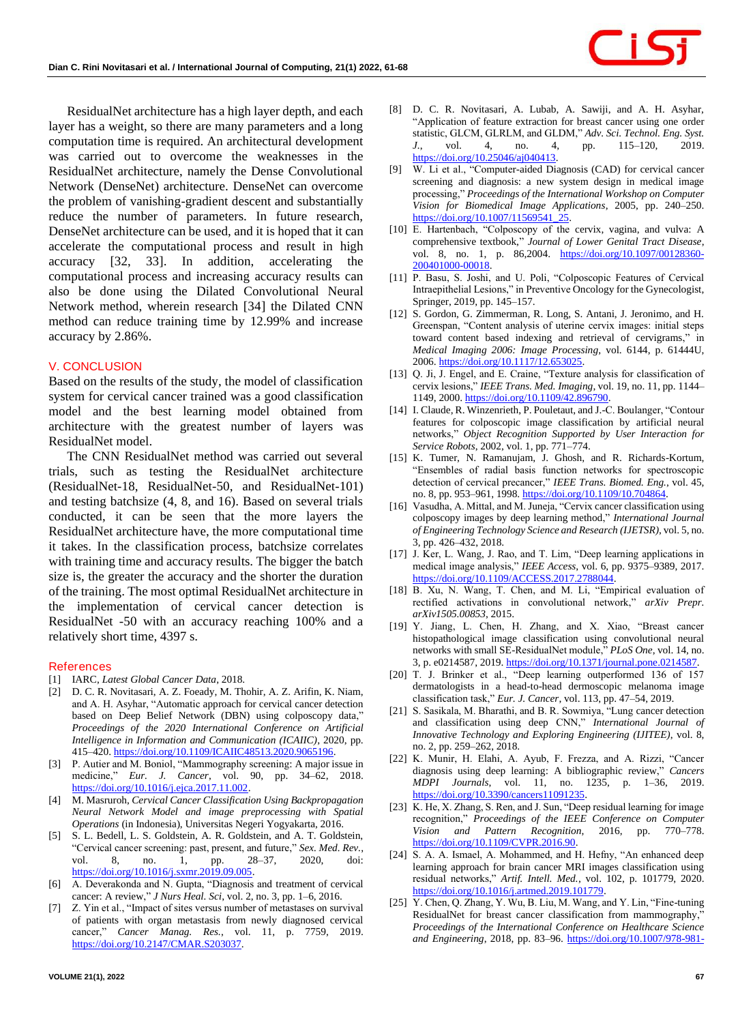ResidualNet architecture has a high layer depth, and each layer has a weight, so there are many parameters and a long computation time is required. An architectural development was carried out to overcome the weaknesses in the ResidualNet architecture, namely the Dense Convolutional Network (DenseNet) architecture. DenseNet can overcome the problem of vanishing-gradient descent and substantially reduce the number of parameters. In future research, DenseNet architecture can be used, and it is hoped that it can accelerate the computational process and result in high accuracy [32, 33]. In addition, accelerating the computational process and increasing accuracy results can also be done using the Dilated Convolutional Neural Network method, wherein research [34] the Dilated CNN method can reduce training time by 12.99% and increase accuracy by 2.86%.

### **V. CONCLUSION**

Based on the results of the study, the model of classification system for cervical cancer trained was a good classification model and the best learning model obtained from architecture with the greatest number of layers was ResidualNet model.

The CNN ResidualNet method was carried out several trials, such as testing the ResidualNet architecture (ResidualNet-18, ResidualNet-50, and ResidualNet-101) and testing batchsize (4, 8, and 16). Based on several trials conducted, it can be seen that the more layers the ResidualNet architecture have, the more computational time it takes. In the classification process, batchsize correlates with training time and accuracy results. The bigger the batch size is, the greater the accuracy and the shorter the duration of the training. The most optimal ResidualNet architecture in the implementation of cervical cancer detection is ResidualNet -50 with an accuracy reaching 100% and a relatively short time, 4397 s.

### **References**

- [1] IARC, *Latest Global Cancer Data*, 2018.
- [2] D. C. R. Novitasari, A. Z. Foeady, M. Thohir, A. Z. Arifin, K. Niam, and A. H. Asyhar, "Automatic approach for cervical cancer detection based on Deep Belief Network (DBN) using colposcopy data," *Proceedings of the 2020 International Conference on Artificial Intelligence in Information and Communication (ICAIIC)*, 2020, pp. 415–420. [https://doi.org/10.1109/ICAIIC48513.2020.9065196.](https://doi.org/10.1109/ICAIIC48513.2020.9065196)
- [3] P. Autier and M. Boniol, "Mammography screening: A major issue in medicine," *Eur. J. Cancer*, vol. 90, pp. 34–62, 2018. [https://doi.org/10.1016/j.ejca.2017.11.002.](https://doi.org/10.1016/j.ejca.2017.11.002)
- [4] M. Masruroh, *Cervical Cancer Classification Using Backpropagation Neural Network Model and image preprocessing with Spatial Operations* (in Indonesia), Universitas Negeri Yogyakarta, 2016.
- [5] S. L. Bedell, L. S. Goldstein, A. R. Goldstein, and A. T. Goldstein, "Cervical cancer screening: past, present, and future," *Sex. Med. Rev.*, vol. 8, no. 1, pp. 28-37, 2020, doi: [https://doi.org/10.1016/j.sxmr.2019.09.005.](https://doi.org/10.1016/j.sxmr.2019.09.005)
- [6] A. Deverakonda and N. Gupta, "Diagnosis and treatment of cervical cancer: A review," *J Nurs Heal. Sci*, vol. 2, no. 3, pp. 1–6, 2016.
- [7] Z. Yin et al., "Impact of sites versus number of metastases on survival of patients with organ metastasis from newly diagnosed cervical cancer," *Cancer Manag. Res.*, vol. 11, p. 7759, 2019. [https://doi.org/10.2147/CMAR.S203037.](https://doi.org/10.2147/CMAR.S203037)
- [8] D. C. R. Novitasari, A. Lubab, A. Sawiji, and A. H. Asyhar, "Application of feature extraction for breast cancer using one order statistic, GLCM, GLRLM, and GLDM," *Adv. Sci. Technol. Eng. Syst. J.*, vol. 4, no. 4, pp. 115–120, 2019. [https://doi.org/10.25046/aj040413.](https://doi.org/10.25046/aj040413)
- [9] W. Li et al., "Computer-aided Diagnosis (CAD) for cervical cancer screening and diagnosis: a new system design in medical image processing," *Proceedings of the International Workshop on Computer Vision for Biomedical Image Applications*, 2005, pp. 240–250. [https://doi.org/10.1007/11569541\\_25.](https://doi.org/10.1007/11569541_25)
- [10] E. Hartenbach, "Colposcopy of the cervix, vagina, and vulva: A comprehensive textbook," *Journal of Lower Genital Tract Disease*, vol. 8, no. 1, p. 86,2004. [https://doi.org/10.1097/00128360-](https://doi.org/10.1097/00128360-200401000-00018) [200401000-00018.](https://doi.org/10.1097/00128360-200401000-00018)
- [11] P. Basu, S. Joshi, and U. Poli, "Colposcopic Features of Cervical Intraepithelial Lesions," in Preventive Oncology for the Gynecologist, Springer, 2019, pp. 145–157.
- [12] S. Gordon, G. Zimmerman, R. Long, S. Antani, J. Jeronimo, and H. Greenspan, "Content analysis of uterine cervix images: initial steps toward content based indexing and retrieval of cervigrams," in *Medical Imaging 2006: Image Processing*, vol. 6144, p. 61444U, 2006. [https://doi.org/10.1117/12.653025.](https://doi.org/10.1117/12.653025)
- [13] Q. Ji, J. Engel, and E. Craine, "Texture analysis for classification of cervix lesions," *IEEE Trans. Med. Imaging*, vol. 19, no. 11, pp. 1144– 1149, 2000. [https://doi.org/10.1109/42.896790.](https://doi.org/10.1109/42.896790)
- [14] I. Claude, R. Winzenrieth, P. Pouletaut, and J.-C. Boulanger, "Contour features for colposcopic image classification by artificial neural networks," *Object Recognition Supported by User Interaction for Service Robots*, 2002, vol. 1, pp. 771–774.
- [15] K. Tumer, N. Ramanujam, J. Ghosh, and R. Richards-Kortum, "Ensembles of radial basis function networks for spectroscopic detection of cervical precancer," *IEEE Trans. Biomed. Eng.*, vol. 45, no. 8, pp. 953–961, 1998. [https://doi.org/10.1109/10.704864.](https://doi.org/10.1109/10.704864)
- [16] Vasudha, A. Mittal, and M. Juneja, "Cervix cancer classification using colposcopy images by deep learning method," *International Journal of Engineering Technology Science and Research (IJETSR)*, vol. 5, no. 3, pp. 426–432, 2018.
- [17] J. Ker, L. Wang, J. Rao, and T. Lim, "Deep learning applications in medical image analysis," *IEEE Access*, vol. 6, pp. 9375–9389, 2017. [https://doi.org/10.1109/ACCESS.2017.2788044.](https://doi.org/10.1109/ACCESS.2017.2788044)
- [18] B. Xu, N. Wang, T. Chen, and M. Li, "Empirical evaluation of rectified activations in convolutional network," *arXiv Prepr. arXiv1505.00853*, 2015.
- [19] Y. Jiang, L. Chen, H. Zhang, and X. Xiao, "Breast cancer histopathological image classification using convolutional neural networks with small SE-ResidualNet module," *PLoS One*, vol. 14, no. 3, p. e0214587, 2019. [https://doi.org/10.1371/journal.pone.0214587.](https://doi.org/10.1371/journal.pone.0214587)
- [20] T. J. Brinker et al., "Deep learning outperformed 136 of 157 dermatologists in a head-to-head dermoscopic melanoma image classification task," *Eur. J. Cancer*, vol. 113, pp. 47–54, 2019.
- [21] S. Sasikala, M. Bharathi, and B. R. Sowmiya, "Lung cancer detection and classification using deep CNN," *International Journal of Innovative Technology and Exploring Engineering (IJITEE)*, vol. 8, no. 2, pp. 259–262, 2018.
- [22] K. Munir, H. Elahi, A. Ayub, F. Frezza, and A. Rizzi, "Cancer diagnosis using deep learning: A bibliographic review," *Cancers MDPI Journals*, vol. 11, no. 1235, p. 1–36, 2019. [https://doi.org/10.3390/cancers11091235.](https://doi.org/10.3390/cancers11091235)
- [23] K. He, X. Zhang, S. Ren, and J. Sun, "Deep residual learning for image recognition," *Proceedings of the IEEE Conference on Computer Vision and Pattern Recognition*, 2016, pp. 770–778. [https://doi.org/10.1109/CVPR.2016.90.](https://doi.org/10.1109/CVPR.2016.90)
- [24] S. A. A. Ismael, A. Mohammed, and H. Hefny, "An enhanced deep learning approach for brain cancer MRI images classification using residual networks," *Artif. Intell. Med.*, vol. 102, p. 101779, 2020. [https://doi.org/10.1016/j.artmed.2019.101779.](https://doi.org/10.1016/j.artmed.2019.101779)
- [25] Y. Chen, Q. Zhang, Y. Wu, B. Liu, M. Wang, and Y. Lin, "Fine-tuning ResidualNet for breast cancer classification from mammography," *Proceedings of the International Conference on Healthcare Science and Engineering*, 2018, pp. 83–96. [https://doi.org/10.1007/978-981-](https://doi.org/10.1007/978-981-13-6837-0_7)